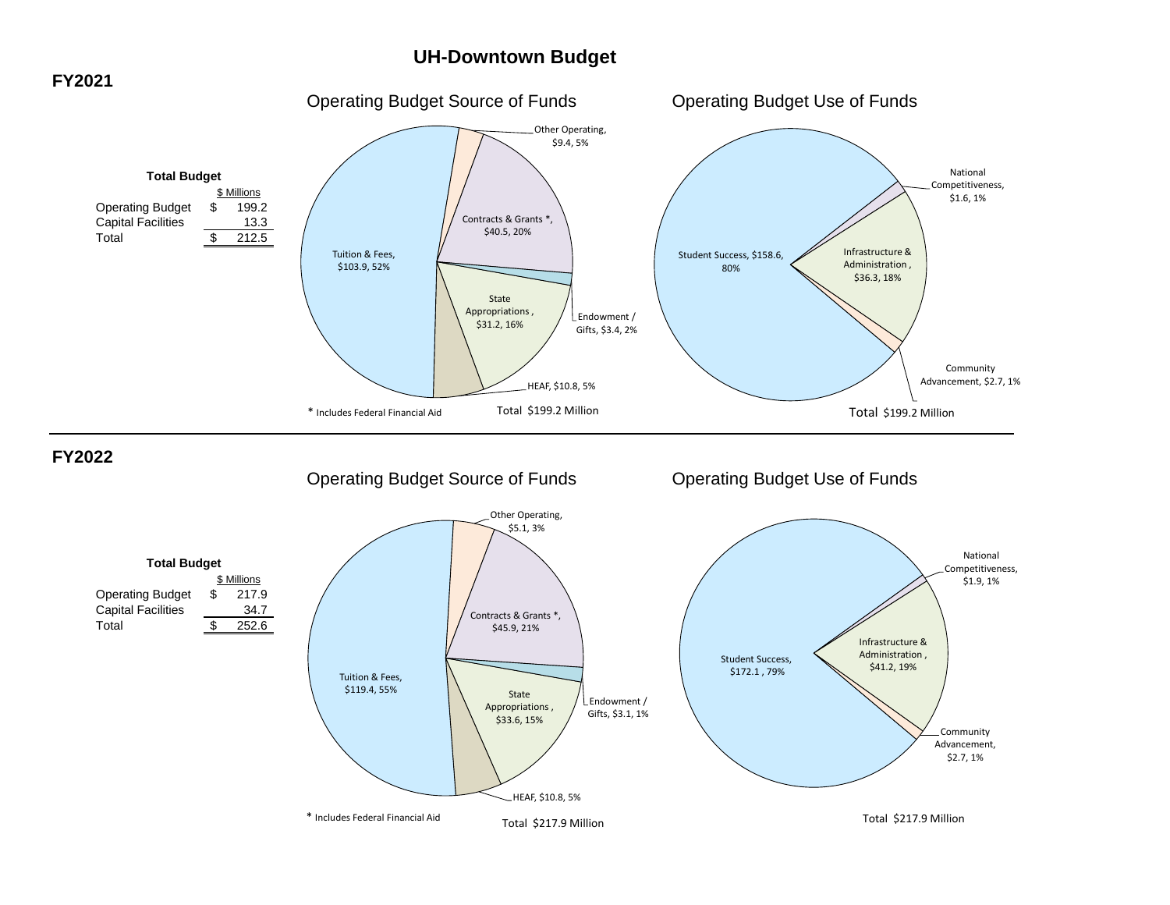# **UH-Downtown Budget**

# **FY2021**

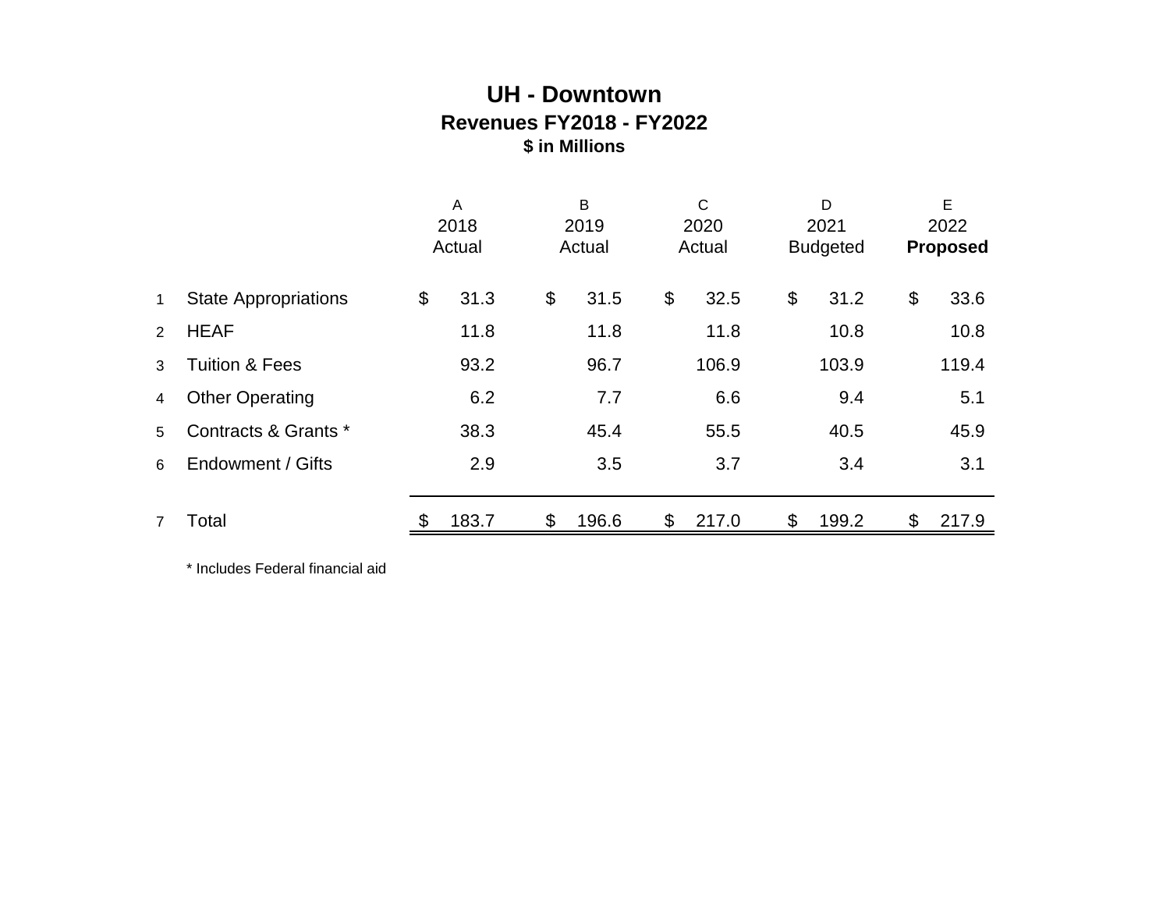# **UH - Downtown Revenues FY2018 - FY2022 \$ in Millions**

|                |                             | A<br>2018<br>Actual |       | B<br>2019<br>Actual |       | $\mathsf{C}$<br>2020<br>Actual |       | D<br>2021<br><b>Budgeted</b> |       | E<br>2022<br><b>Proposed</b> |
|----------------|-----------------------------|---------------------|-------|---------------------|-------|--------------------------------|-------|------------------------------|-------|------------------------------|
| $\mathbf{1}$   | <b>State Appropriations</b> | \$                  | 31.3  | \$                  | 31.5  | \$                             | 32.5  | \$                           | 31.2  | \$<br>33.6                   |
| 2              | <b>HEAF</b>                 |                     | 11.8  |                     | 11.8  |                                | 11.8  |                              | 10.8  | 10.8                         |
| 3              | <b>Tuition &amp; Fees</b>   |                     | 93.2  |                     | 96.7  |                                | 106.9 |                              | 103.9 | 119.4                        |
| 4              | <b>Other Operating</b>      |                     | 6.2   |                     | 7.7   |                                | 6.6   |                              | 9.4   | 5.1                          |
| 5              | Contracts & Grants *        |                     | 38.3  |                     | 45.4  |                                | 55.5  |                              | 40.5  | 45.9                         |
| 6              | Endowment / Gifts           |                     | 2.9   |                     | 3.5   |                                | 3.7   |                              | 3.4   | 3.1                          |
|                |                             |                     |       |                     |       |                                |       |                              |       |                              |
| $\overline{7}$ | Total                       |                     | 183.7 | \$                  | 196.6 | \$                             | 217.0 | \$                           | 199.2 | \$<br>217.9                  |

\* Includes Federal financial aid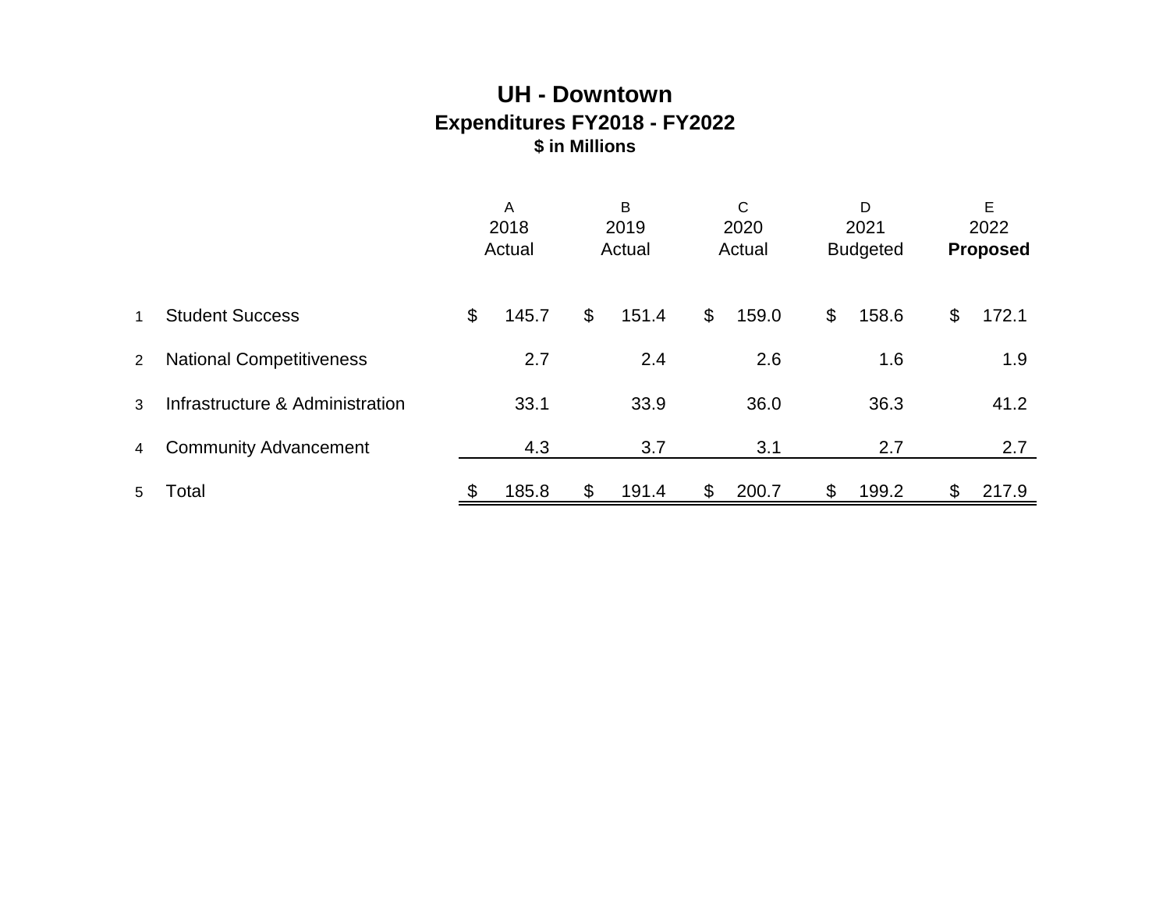# **UH - Downtown Expenditures FY2018 - FY2022 \$ in Millions**

|   |                                 | A<br>2018<br>Actual |       |                | B<br>2019<br>Actual |       | С<br>2020<br>Actual |               | D<br>2021<br><b>Budgeted</b> |    | E<br>2022<br><b>Proposed</b> |
|---|---------------------------------|---------------------|-------|----------------|---------------------|-------|---------------------|---------------|------------------------------|----|------------------------------|
| 1 | <b>Student Success</b>          | \$                  | 145.7 | $\mathfrak{L}$ | 151.4               | $\$\$ | 159.0               | $\frac{1}{2}$ | 158.6                        | \$ | 172.1                        |
| 2 | <b>National Competitiveness</b> |                     | 2.7   |                | 2.4                 |       | 2.6                 |               | 1.6                          |    | 1.9                          |
| 3 | Infrastructure & Administration |                     | 33.1  |                | 33.9                |       | 36.0                |               | 36.3                         |    | 41.2                         |
| 4 | <b>Community Advancement</b>    |                     | 4.3   |                | 3.7                 |       | 3.1                 |               | 2.7                          |    | 2.7                          |
| 5 | Total                           |                     | 185.8 | \$             | 191.4               | \$    | 200.7               | \$            | 199.2                        | \$ | 217.9                        |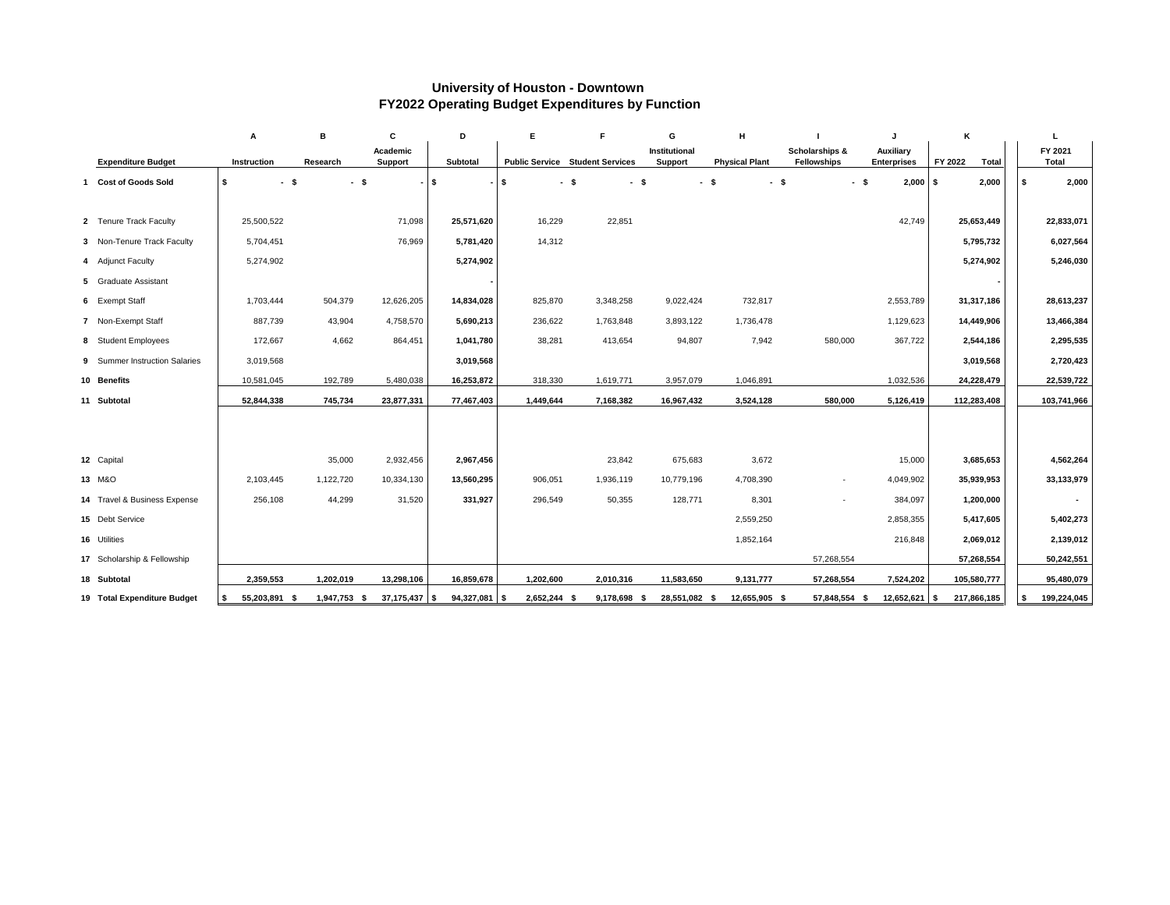# **University of Houston - Downtown FY2022 Operating Budget Expenditures by Function**

|                               | A                    | в                | C                                 | D               | Е            | F                                      | G                               | H                     |                                                 |                                        | K                       | L                       |
|-------------------------------|----------------------|------------------|-----------------------------------|-----------------|--------------|----------------------------------------|---------------------------------|-----------------------|-------------------------------------------------|----------------------------------------|-------------------------|-------------------------|
| <b>Expenditure Budget</b>     | <b>Instruction</b>   | Research         | <b>Academic</b><br><b>Support</b> | Subtotal        |              | <b>Public Service Student Services</b> | Institutional<br><b>Support</b> | <b>Physical Plant</b> | <b>Scholarships &amp;</b><br><b>Fellowships</b> | <b>Auxiliary</b><br><b>Enterprises</b> | FY 2022<br><b>Total</b> | FY 2021<br><b>Total</b> |
| <b>Cost of Goods Sold</b>     | \$                   | $-$ \$<br>$-$ \$ |                                   | -\$             | $-1$ \$      | $-$ \$<br>$-$ \$                       |                                 | $-$ \$                | $-$ \$                                          | $2,000$ \$<br>$-$ \$                   | 2,000                   | 2,000                   |
|                               |                      |                  |                                   |                 |              |                                        |                                 |                       |                                                 |                                        |                         |                         |
| 2 Tenure Track Faculty        | 25,500,522           |                  | 71,098                            | 25,571,620      | 16,229       | 22,851                                 |                                 |                       |                                                 | 42,749                                 | 25,653,449              | 22,833,071              |
|                               |                      |                  |                                   |                 |              |                                        |                                 |                       |                                                 |                                        |                         |                         |
| 3 Non-Tenure Track Faculty    | 5,704,451            |                  | 76,969                            | 5,781,420       | 14,312       |                                        |                                 |                       |                                                 |                                        | 5,795,732               | 6,027,564               |
| 4 Adjunct Faculty             | 5,274,902            |                  |                                   | 5,274,902       |              |                                        |                                 |                       |                                                 |                                        | 5,274,902               | 5,246,030               |
| 5 Graduate Assistant          |                      |                  |                                   |                 |              |                                        |                                 |                       |                                                 |                                        |                         |                         |
| 6 Exempt Staff                | 1,703,444            | 504,379          | 12,626,205                        | 14,834,028      | 825,870      | 3,348,258                              | 9,022,424                       | 732,817               |                                                 | 2,553,789                              | 31,317,186              | 28,613,237              |
| 7 Non-Exempt Staff            | 887,739              | 43,904           | 4,758,570                         | 5,690,213       | 236,622      | 1,763,848                              | 3,893,122                       | 1,736,478             |                                                 | 1,129,623                              | 14,449,906              | 13,466,384              |
| 8 Student Employees           | 172,667              | 4,662            | 864,451                           | 1,041,780       | 38,281       | 413,654                                | 94,807                          | 7,942                 | 580,000                                         | 367,722                                | 2,544,186               | 2,295,535               |
| 9 Summer Instruction Salaries | 3,019,568            |                  |                                   | 3,019,568       |              |                                        |                                 |                       |                                                 |                                        | 3,019,568               | 2,720,423               |
| 10 Benefits                   | 10,581,045           | 192,789          | 5,480,038                         | 16,253,872      | 318,330      | 1,619,771                              | 3,957,079                       | 1,046,891             |                                                 | 1,032,536                              | 24,228,479              | 22,539,722              |
| 11 Subtotal                   | 52,844,338           | 745,734          | 23,877,331                        | 77,467,403      | 1,449,644    | 7,168,382                              | 16,967,432                      | 3,524,128             | 580,000                                         | 5,126,419                              | 112,283,408             | 103,741,966             |
|                               |                      |                  |                                   |                 |              |                                        |                                 |                       |                                                 |                                        |                         |                         |
|                               |                      |                  |                                   |                 |              |                                        |                                 |                       |                                                 |                                        |                         |                         |
| 12 Capital                    |                      | 35,000           | 2,932,456                         | 2,967,456       |              | 23,842                                 | 675,683                         | 3,672                 |                                                 | 15,000                                 | 3,685,653               | 4,562,264               |
|                               |                      |                  |                                   |                 |              |                                        |                                 |                       |                                                 |                                        |                         |                         |
| 13 M&O                        | 2,103,445            | 1,122,720        | 10,334,130                        | 13,560,295      | 906,051      | 1,936,119                              | 10,779,196                      | 4,708,390             | $\sim$                                          | 4,049,902                              | 35,939,953              | 33, 133, 979            |
| 14 Travel & Business Expense  | 256,108              | 44,299           | 31,520                            | 331,927         | 296,549      | 50,355                                 | 128,771                         | 8,301                 |                                                 | 384,097                                | 1,200,000               |                         |
| 15 Debt Service               |                      |                  |                                   |                 |              |                                        |                                 | 2,559,250             |                                                 | 2,858,355                              | 5,417,605               | 5,402,273               |
| 16 Utilities                  |                      |                  |                                   |                 |              |                                        |                                 | 1,852,164             |                                                 | 216,848                                | 2,069,012               | 2,139,012               |
| 17 Scholarship & Fellowship   |                      |                  |                                   |                 |              |                                        |                                 |                       | 57,268,554                                      |                                        | 57,268,554              | 50,242,551              |
| 18 Subtotal                   | 2,359,553            | 1,202,019        | 13,298,106                        | 16,859,678      | 1,202,600    | 2,010,316                              | 11,583,650                      | 9,131,777             | 57,268,554                                      | 7,524,202                              | 105,580,777             | 95,480,079              |
| 19 Total Expenditure Budget   | 55,203,891 \$<br>-\$ | 1,947,753 \$     | $37,175,437$ $\frac{\ }{ }$ \$    | $94,327,081$ \$ | 2,652,244 \$ | 9,178,698 \$                           | 28,551,082 \$                   | 12,655,905 \$         | 57,848,554 \$                                   | $12,652,621$ \$                        | 217,866,185             | 199,224,045<br>- 5      |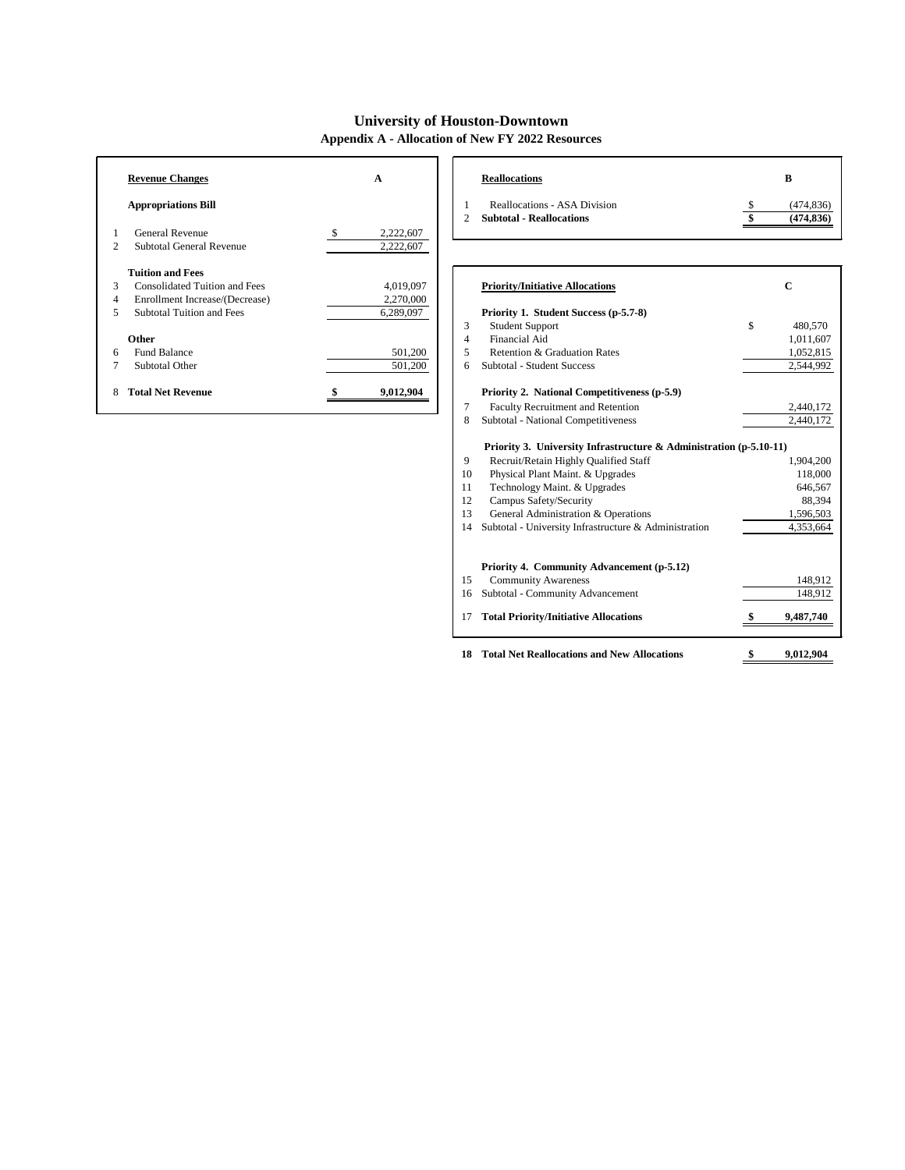# **University of Houston-Downtown**

**Appendix A - Allocation of New FY 2022 Resources**

| <b>Revenue Changes</b> |                                      | A                          |               | <b>Reallocations</b>                                                   | B                        |
|------------------------|--------------------------------------|----------------------------|---------------|------------------------------------------------------------------------|--------------------------|
|                        | <b>Appropriations Bill</b>           |                            | $\mathcal{D}$ | <b>Reallocations - ASA Division</b><br><b>Subtotal - Reallocations</b> | (474, 836)<br>(474, 836) |
|                        | <b>General Revenue</b>               | 2,222,607<br><sup>\$</sup> |               |                                                                        |                          |
| 2                      | <b>Subtotal General Revenue</b>      | 2,222,607                  |               |                                                                        |                          |
|                        | <b>Tuition and Fees</b>              |                            |               |                                                                        |                          |
| 3                      | <b>Consolidated Tuition and Fees</b> | 4,019,097                  |               | <b>Priority/Initiative Allocations</b>                                 | $\mathbf C$              |
| 4                      | Enrollment Increase/(Decrease)       | 2,270,000                  |               |                                                                        |                          |
| 5                      | <b>Subtotal Tuition and Fees</b>     | 6,289,097                  |               | Priority 1. Student Success (p-5.7-8)                                  |                          |
|                        |                                      |                            | 3             | <b>Student Support</b>                                                 | \$<br>480,570            |
|                        | Other                                |                            | 4             | Financial Aid                                                          | 1,011,607                |
| 6                      | <b>Fund Balance</b>                  | 501,200                    | 5             | Retention & Graduation Rates                                           | 1,052,815                |
|                        | Subtotal Other                       | 501,200                    | 6             | <b>Subtotal - Student Success</b>                                      | 2,544,992                |
|                        | <b>Total Net Revenue</b>             | 9,012,904                  |               | Priority 2. National Competitiveness (p-5.9)                           |                          |
|                        |                                      |                            | 7             | Faculty Recruitment and Retention                                      | 2,440,172                |
|                        |                                      |                            | 8             | Subtotal - National Competitiveness                                    | 2,440,172                |
|                        |                                      |                            |               | Priority 3. University Infrastructure & Administration (p-5.10-11)     |                          |
|                        |                                      |                            | 9             | Recruit/Retain Highly Qualified Staff                                  | 1,904,200                |
|                        |                                      |                            | 10            | Physical Plant Maint. & Upgrades                                       | 118,000                  |
|                        |                                      |                            | 11            | Technology Maint. & Upgrades                                           | 646,567                  |
|                        |                                      |                            | 12            | Campus Safety/Security                                                 | 88,394                   |
|                        |                                      |                            | 13            | General Administration & Operations                                    | 1,596,503                |
|                        |                                      |                            | 14            | Subtotal - University Infrastructure & Administration                  | 4,353,664                |
|                        |                                      |                            |               | Priority 4. Community Advancement (p-5.12)                             |                          |
|                        |                                      |                            | 15            | <b>Community Awareness</b>                                             | 148,912                  |
|                        |                                      |                            | 16            | <b>Subtotal - Community Advancement</b>                                | 148,912                  |

**Total Priority/Initiative Allocations \$ 9,487,740**

**Total Net Reallocations and New Allocations \$ 9,012,904**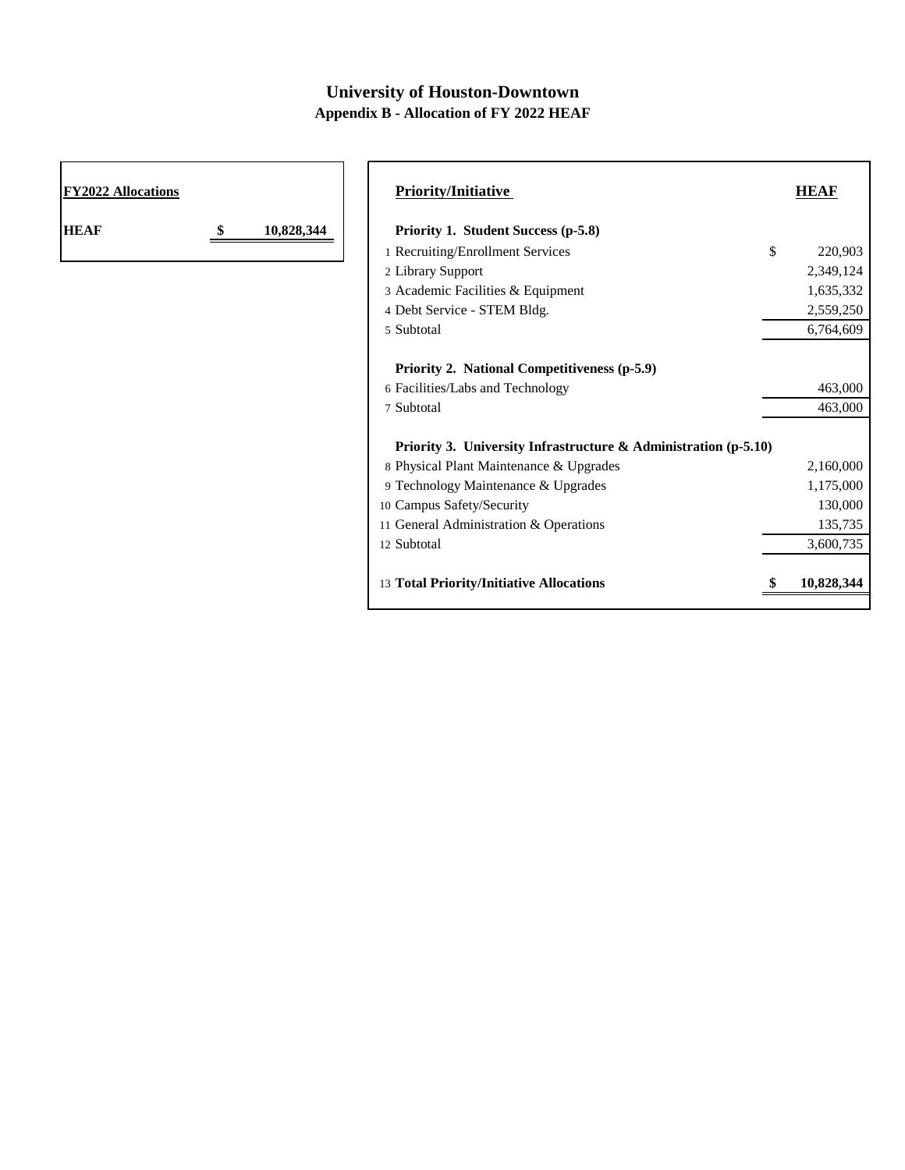# **University of Houston-Downtown Appendix B - Allocation of FY 2022 HEAF**

| <b>FY2022 Allocations</b> | <b>Priority/Initiative</b>                                         | <b>HEAF</b>   |
|---------------------------|--------------------------------------------------------------------|---------------|
| <b>HEAF</b><br>10,828,344 | Priority 1. Student Success (p-5.8)                                |               |
|                           | 1 Recruiting/Enrollment Services                                   | \$<br>220,903 |
|                           | 2 Library Support                                                  | 2,349,124     |
|                           | 3 Academic Facilities & Equipment                                  | 1,635,332     |
|                           | 4 Debt Service - STEM Bldg.                                        | 2,559,250     |
|                           | 5 Subtotal                                                         | 6,764,609     |
|                           | Priority 2. National Competitiveness (p-5.9)                       |               |
|                           | 6 Facilities/Labs and Technology                                   | 463,000       |
|                           | 7 Subtotal                                                         | 463,000       |
|                           | Priority 3. University Infrastructure $\&$ Administration (p-5.10) |               |
|                           | 8 Physical Plant Maintenance & Upgrades                            | 2,160,000     |
|                           | 9 Technology Maintenance & Upgrades                                | 1,175,000     |
|                           | 10 Campus Safety/Security                                          | 130,000       |
|                           | 11 General Administration & Operations                             | 135,735       |
|                           | 12 Subtotal                                                        | 3,600,735     |
|                           | 13 Total Priority/Initiative Allocations                           | 10,828,344    |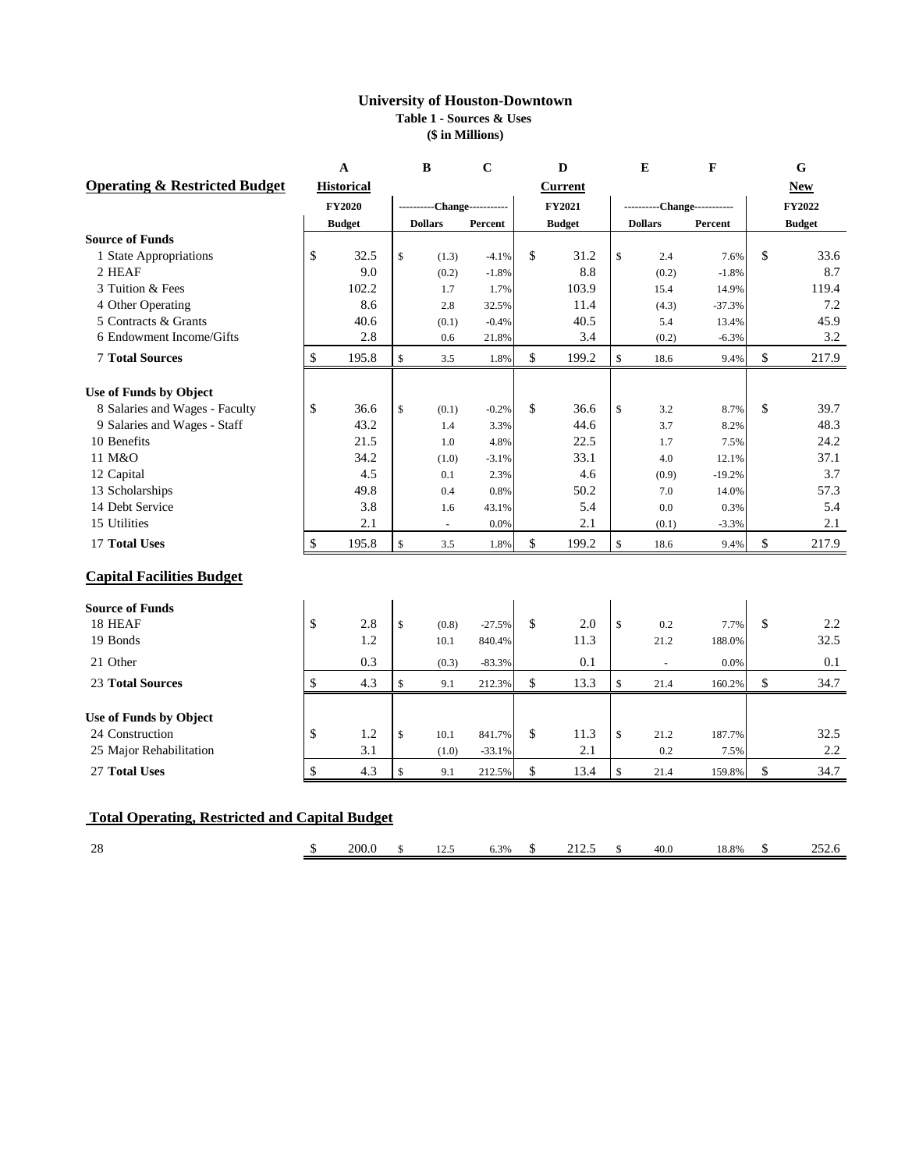### **University of Houston-Downtown Table 1 - Sources & Uses (\$ in Millions)**

|                                                       |                           | $\mathbf A$       |                           | B                           | $\mathbf C$ |               | D              |               | E                        | $\mathbf{F}$                |                           | G             |
|-------------------------------------------------------|---------------------------|-------------------|---------------------------|-----------------------------|-------------|---------------|----------------|---------------|--------------------------|-----------------------------|---------------------------|---------------|
| <b>Operating &amp; Restricted Budget</b>              |                           | <b>Historical</b> |                           |                             |             |               | <b>Current</b> |               |                          |                             |                           | <b>New</b>    |
|                                                       |                           | <b>FY2020</b>     |                           | ----------Change----------- |             |               | <b>FY2021</b>  |               |                          | ----------Change----------- |                           | <b>FY2022</b> |
|                                                       |                           | <b>Budget</b>     |                           | <b>Dollars</b>              | Percent     |               | <b>Budget</b>  |               | <b>Dollars</b>           | Percent                     |                           | <b>Budget</b> |
| <b>Source of Funds</b>                                |                           |                   |                           |                             |             |               |                |               |                          |                             |                           |               |
| 1 State Appropriations                                | \$                        | 32.5              | $\boldsymbol{\mathsf{S}}$ | (1.3)                       | $-4.1%$     | $\mathcal{S}$ | 31.2           | \$            | 2.4                      | 7.6%                        | $\mathcal{S}$             | 33.6          |
| 2 HEAF                                                |                           | 9.0               |                           | (0.2)                       | $-1.8%$     |               | 8.8            |               | (0.2)                    | $-1.8%$                     |                           | 8.7           |
| 3 Tuition & Fees                                      |                           | 102.2             |                           | 1.7                         | 1.7%        |               | 103.9          |               | 15.4                     | 14.9%                       |                           | 119.4         |
| 4 Other Operating                                     |                           | 8.6               |                           | 2.8                         | 32.5%       |               | 11.4           |               | (4.3)                    | $-37.3%$                    |                           | 7.2           |
| 5 Contracts & Grants                                  |                           | 40.6              |                           | (0.1)                       | $-0.4%$     |               | 40.5           |               | 5.4                      | 13.4%                       |                           | 45.9          |
| 6 Endowment Income/Gifts                              |                           | 2.8               |                           | 0.6                         | 21.8%       |               | 3.4            |               | (0.2)                    | $-6.3%$                     |                           | 3.2           |
| <b>7 Total Sources</b>                                | \$                        | 195.8             | $\mathbb{S}$              | 3.5                         | 1.8%        | \$            | 199.2          | $\mathbb{S}$  | 18.6                     | 9.4%                        | $\mathcal{S}$             | 217.9         |
| <b>Use of Funds by Object</b>                         |                           |                   |                           |                             |             |               |                |               |                          |                             |                           |               |
| 8 Salaries and Wages - Faculty                        | \$                        | 36.6              | $\mathbb{S}$              | (0.1)                       | $-0.2%$     | $\mathbb{S}$  | 36.6           | $\mathcal{S}$ | 3.2                      | 8.7%                        | $\mathcal{S}$             | 39.7          |
| 9 Salaries and Wages - Staff                          |                           | 43.2              |                           | 1.4                         | 3.3%        |               | 44.6           |               | 3.7                      | 8.2%                        |                           | 48.3          |
| 10 Benefits                                           |                           | 21.5              |                           | 1.0                         | 4.8%        |               | 22.5           |               | 1.7                      | 7.5%                        |                           | 24.2          |
| 11 M&O                                                |                           | 34.2              |                           | (1.0)                       | $-3.1%$     |               | 33.1           |               | 4.0                      | 12.1%                       |                           | 37.1          |
| 12 Capital                                            |                           | 4.5               |                           | 0.1                         | 2.3%        |               | 4.6            |               | (0.9)                    | $-19.2%$                    |                           | 3.7           |
| 13 Scholarships                                       |                           | 49.8              |                           | 0.4                         | 0.8%        |               | 50.2           |               | 7.0                      | 14.0%                       |                           | 57.3          |
| 14 Debt Service                                       |                           | 3.8               |                           | 1.6                         | 43.1%       |               | 5.4            |               | 0.0                      | 0.3%                        |                           | 5.4           |
| 15 Utilities                                          |                           | 2.1               |                           |                             | 0.0%        |               | 2.1            |               | (0.1)                    | $-3.3%$                     |                           | 2.1           |
| 17 Total Uses                                         | \$                        | 195.8             | $\boldsymbol{\mathsf{S}}$ | $3.5$                       | 1.8%        | \$            | 199.2          | \$            | 18.6                     | 9.4%                        | \$                        | 217.9         |
| <b>Capital Facilities Budget</b>                      |                           |                   |                           |                             |             |               |                |               |                          |                             |                           |               |
| <b>Source of Funds</b>                                |                           |                   |                           |                             |             |               |                |               |                          |                             |                           |               |
| 18 HEAF                                               | \$                        | 2.8               | $\mathbb{S}$              | (0.8)                       | $-27.5%$    | \$            | 2.0            | $\mathbb{S}$  | 0.2                      | 7.7%                        | \$                        | 2.2           |
| 19 Bonds                                              |                           | 1.2               |                           | 10.1                        | 840.4%      |               | 11.3           |               | 21.2                     | 188.0%                      |                           | 32.5          |
| 21 Other                                              |                           | 0.3               |                           | (0.3)                       | $-83.3%$    |               | 0.1            |               | $\overline{\phantom{a}}$ | $0.0\%$                     |                           | 0.1           |
| <b>23 Total Sources</b>                               | \$                        | 4.3               | \$                        | 9.1                         | 212.3%      | $\mathcal{S}$ | 13.3           | \$            | 21.4                     | 160.2%                      | $\boldsymbol{\mathsf{S}}$ | 34.7          |
| <b>Use of Funds by Object</b>                         |                           |                   |                           |                             |             |               |                |               |                          |                             |                           |               |
| 24 Construction                                       | \$                        | 1.2               | $\mathbb{S}$              | 10.1                        | 841.7%      | $\mathcal{S}$ | 11.3           | $\mathcal{S}$ | 21.2                     | 187.7%                      |                           | 32.5          |
| 25 Major Rehabilitation                               |                           | 3.1               |                           | (1.0)                       | $-33.1%$    |               | 2.1            |               | 0.2                      | 7.5%                        |                           | 2.2           |
| 27 Total Uses                                         | $\boldsymbol{\mathsf{S}}$ | 4.3               | \$                        | 9.1                         | 212.5%      | $\mathcal{S}$ | 13.4           | $\mathbb{S}$  | 21.4                     | 159.8%                      | $\mathcal{S}$             | 34.7          |
|                                                       |                           |                   |                           |                             |             |               |                |               |                          |                             |                           |               |
| <b>Total Operating, Restricted and Capital Budget</b> |                           |                   |                           |                             |             |               |                |               |                          |                             |                           |               |
| 28                                                    | <sup>2</sup>              | 200.0             | $\mathbb{S}$              | 12.5                        | 6.3%        | $\mathcal{S}$ | 212.5          | $\mathcal{S}$ | 40.0                     | 18.8%                       | S.                        | 252.6         |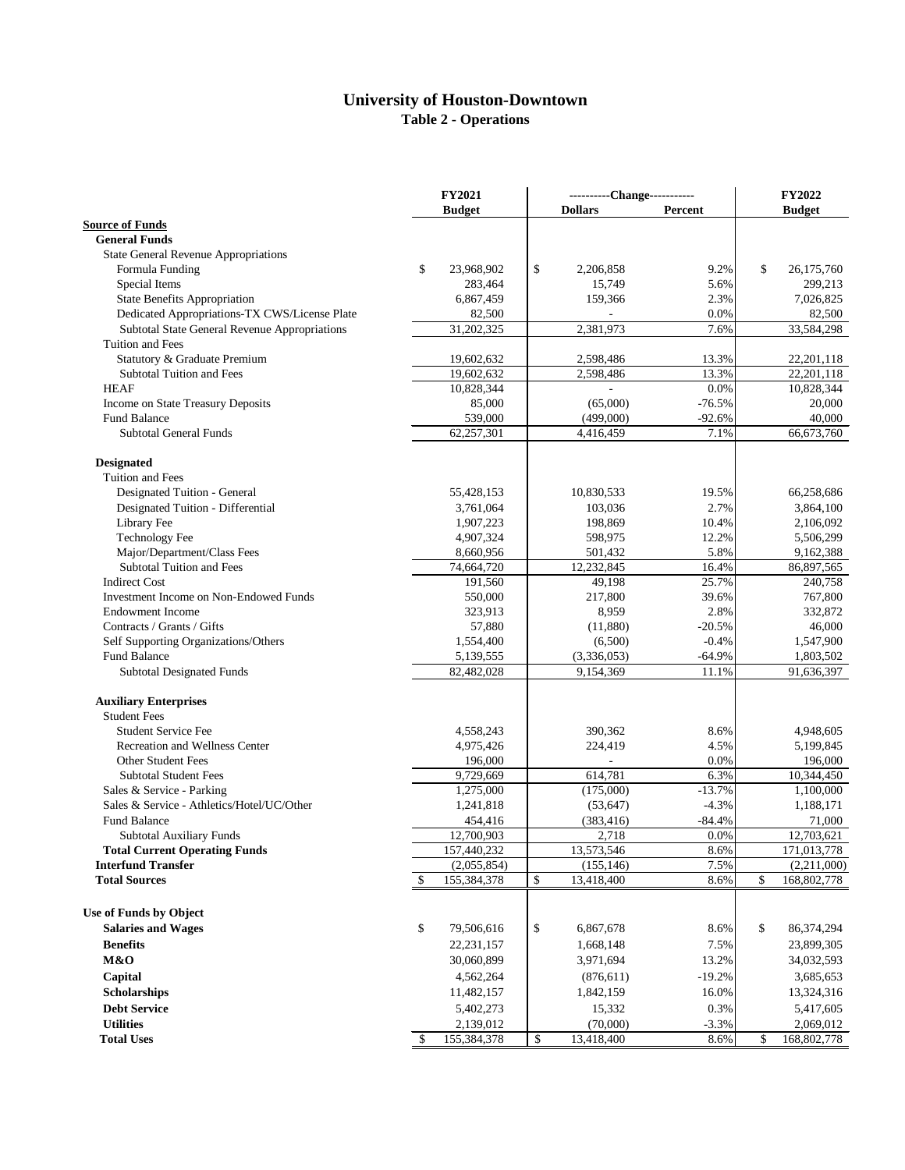# **University of Houston-Downtown Table 2 - Operations**

|                                               | <b>FY2021</b>             |               | ----------Change----------- |                |          |               | <b>FY2022</b> |  |  |
|-----------------------------------------------|---------------------------|---------------|-----------------------------|----------------|----------|---------------|---------------|--|--|
|                                               |                           | <b>Budget</b> |                             | <b>Dollars</b> | Percent  |               | <b>Budget</b> |  |  |
| <b>Source of Funds</b>                        |                           |               |                             |                |          |               |               |  |  |
| <b>General Funds</b>                          |                           |               |                             |                |          |               |               |  |  |
| <b>State General Revenue Appropriations</b>   |                           |               |                             |                |          |               |               |  |  |
| Formula Funding                               | \$                        | 23,968,902    | \$                          | 2,206,858      | 9.2%     | \$            | 26,175,760    |  |  |
| Special Items                                 |                           | 283,464       |                             | 15,749         | 5.6%     |               | 299,213       |  |  |
| <b>State Benefits Appropriation</b>           |                           | 6,867,459     |                             | 159,366        | 2.3%     |               | 7,026,825     |  |  |
| Dedicated Appropriations-TX CWS/License Plate |                           | 82,500        |                             |                | 0.0%     |               | 82,500        |  |  |
| Subtotal State General Revenue Appropriations |                           | 31,202,325    |                             | 2,381,973      | 7.6%     |               | 33,584,298    |  |  |
| Tuition and Fees                              |                           |               |                             |                |          |               |               |  |  |
| Statutory & Graduate Premium                  |                           | 19,602,632    |                             | 2,598,486      | 13.3%    |               | 22,201,118    |  |  |
| <b>Subtotal Tuition and Fees</b>              |                           | 19,602,632    |                             | 2,598,486      | 13.3%    |               | 22,201,118    |  |  |
| <b>HEAF</b>                                   |                           | 10,828,344    |                             |                | 0.0%     |               | 10,828,344    |  |  |
| Income on State Treasury Deposits             |                           | 85,000        |                             | (65,000)       | $-76.5%$ |               | 20,000        |  |  |
| <b>Fund Balance</b>                           |                           | 539,000       |                             | (499,000)      | $-92.6%$ |               | 40,000        |  |  |
| <b>Subtotal General Funds</b>                 |                           | 62,257,301    |                             | 4,416,459      | 7.1%     |               | 66,673,760    |  |  |
| <b>Designated</b>                             |                           |               |                             |                |          |               |               |  |  |
| Tuition and Fees                              |                           |               |                             |                |          |               |               |  |  |
| Designated Tuition - General                  |                           | 55,428,153    |                             | 10,830,533     | 19.5%    |               | 66,258,686    |  |  |
| Designated Tuition - Differential             |                           | 3,761,064     |                             | 103,036        | 2.7%     |               | 3,864,100     |  |  |
| Library Fee                                   |                           | 1,907,223     |                             | 198,869        | 10.4%    |               | 2,106,092     |  |  |
| <b>Technology Fee</b>                         |                           | 4,907,324     |                             | 598,975        | 12.2%    |               | 5,506,299     |  |  |
| Major/Department/Class Fees                   |                           | 8,660,956     |                             | 501,432        | 5.8%     |               | 9,162,388     |  |  |
| <b>Subtotal Tuition and Fees</b>              |                           | 74,664,720    |                             | 12,232,845     | 16.4%    |               | 86,897,565    |  |  |
| <b>Indirect Cost</b>                          |                           | 191,560       |                             | 49,198         | 25.7%    |               | 240,758       |  |  |
| Investment Income on Non-Endowed Funds        |                           | 550,000       |                             | 217,800        | 39.6%    |               | 767,800       |  |  |
| <b>Endowment Income</b>                       |                           | 323,913       |                             | 8,959          | 2.8%     |               | 332,872       |  |  |
| Contracts / Grants / Gifts                    |                           | 57,880        |                             | (11,880)       | $-20.5%$ |               | 46,000        |  |  |
| Self Supporting Organizations/Others          |                           | 1,554,400     |                             | (6,500)        | $-0.4%$  |               | 1,547,900     |  |  |
| <b>Fund Balance</b>                           |                           | 5,139,555     |                             | (3,336,053)    | $-64.9%$ |               | 1,803,502     |  |  |
| <b>Subtotal Designated Funds</b>              |                           | 82,482,028    |                             | 9,154,369      | 11.1%    |               | 91,636,397    |  |  |
| <b>Auxiliary Enterprises</b>                  |                           |               |                             |                |          |               |               |  |  |
| <b>Student Fees</b>                           |                           |               |                             |                |          |               |               |  |  |
| <b>Student Service Fee</b>                    |                           | 4,558,243     |                             | 390,362        | 8.6%     |               | 4,948,605     |  |  |
| <b>Recreation and Wellness Center</b>         |                           | 4,975,426     |                             | 224,419        | 4.5%     |               | 5,199,845     |  |  |
| Other Student Fees                            |                           | 196,000       |                             |                | 0.0%     |               | 196,000       |  |  |
| <b>Subtotal Student Fees</b>                  |                           | 9,729,669     |                             | 614,781        | 6.3%     |               | 10,344,450    |  |  |
| Sales & Service - Parking                     |                           | 1,275,000     |                             | (175,000)      | $-13.7%$ |               | 1,100,000     |  |  |
| Sales & Service - Athletics/Hotel/UC/Other    |                           | 1,241,818     |                             | (53, 647)      | $-4.3%$  |               | 1,188,171     |  |  |
| <b>Fund Balance</b>                           |                           | 454,416       |                             | (383, 416)     | $-84.4%$ |               | 71,000        |  |  |
| <b>Subtotal Auxiliary Funds</b>               |                           | 12,700,903    |                             | 2,718          | 0.0%     |               | 12,703,621    |  |  |
| <b>Total Current Operating Funds</b>          |                           | 157,440,232   |                             | 13,573,546     | 8.6%     |               | 171,013,778   |  |  |
| <b>Interfund Transfer</b>                     |                           | (2,055,854)   |                             | (155, 146)     | 7.5%     |               | (2,211,000)   |  |  |
| <b>Total Sources</b>                          | -S                        | 155,384,378   | \$                          | 13,418,400     | 8.6%     | $\mathsf{\$}$ | 168,802,778   |  |  |
| Use of Funds by Object                        |                           |               |                             |                |          |               |               |  |  |
| <b>Salaries and Wages</b>                     | \$                        | 79,506,616    | \$                          | 6,867,678      | 8.6%     | \$            | 86,374,294    |  |  |
| <b>Benefits</b>                               |                           | 22, 231, 157  |                             | 1,668,148      | 7.5%     |               | 23,899,305    |  |  |
| M&O                                           |                           | 30,060,899    |                             | 3,971,694      | 13.2%    |               | 34,032,593    |  |  |
| Capital                                       |                           | 4,562,264     |                             | (876, 611)     | $-19.2%$ |               | 3,685,653     |  |  |
|                                               |                           |               |                             | 1,842,159      | 16.0%    |               |               |  |  |
| <b>Scholarships</b>                           |                           | 11,482,157    |                             |                |          |               | 13,324,316    |  |  |
| <b>Debt Service</b>                           |                           | 5,402,273     |                             | 15,332         | 0.3%     |               | 5,417,605     |  |  |
| <b>Utilities</b>                              |                           | 2,139,012     |                             | (70,000)       | $-3.3%$  |               | 2,069,012     |  |  |
| <b>Total Uses</b>                             | $\boldsymbol{\mathsf{S}}$ | 155,384,378   | \$                          | 13,418,400     | 8.6%     | \$            | 168,802,778   |  |  |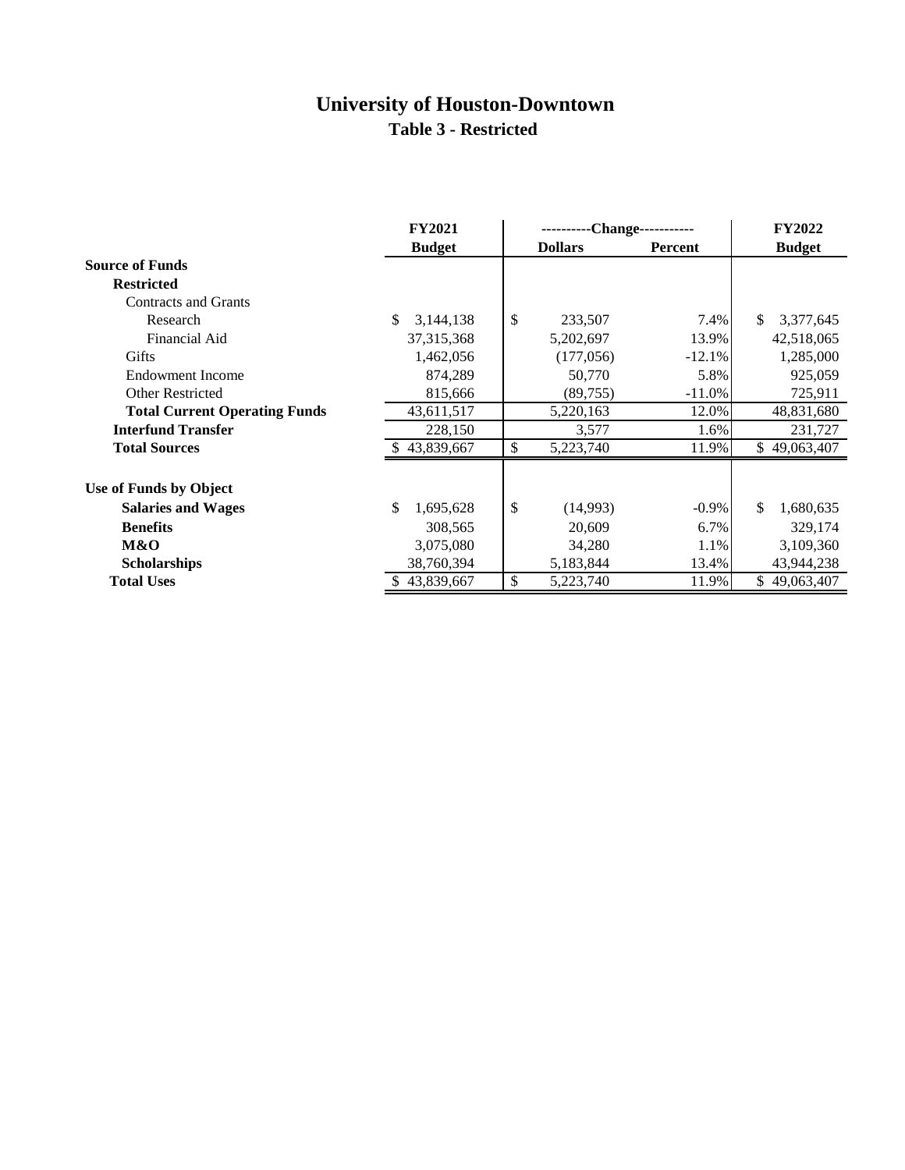### **University of Houston-Downtown Table 3 - Restricted**

|                                      | <b>FY2021</b>   | ----------Change----------- | <b>FY2022</b> |                  |
|--------------------------------------|-----------------|-----------------------------|---------------|------------------|
|                                      | <b>Budget</b>   | <b>Dollars</b>              | Percent       | <b>Budget</b>    |
| <b>Source of Funds</b>               |                 |                             |               |                  |
| <b>Restricted</b>                    |                 |                             |               |                  |
| <b>Contracts and Grants</b>          |                 |                             |               |                  |
| Research                             | \$<br>3,144,138 | \$<br>233,507               | 7.4%          | \$.<br>3,377,645 |
| Financial Aid                        | 37, 315, 368    | 5,202,697                   | 13.9%         | 42,518,065       |
| Gifts                                | 1,462,056       | (177,056)                   | $-12.1%$      | 1,285,000        |
| Endowment Income                     | 874,289         | 50,770                      | 5.8%          | 925,059          |
| <b>Other Restricted</b>              | 815,666         | (89, 755)                   | $-11.0%$      | 725,911          |
| <b>Total Current Operating Funds</b> | 43,611,517      | 5,220,163                   | 12.0%         | 48,831,680       |
| <b>Interfund Transfer</b>            | 228,150         | 3,577                       | 1.6%          | 231,727          |
| <b>Total Sources</b>                 | 43,839,667      | \$<br>5,223,740             | 11.9%         | \$49,063,407     |
| Use of Funds by Object               |                 |                             |               |                  |
| <b>Salaries and Wages</b>            | \$<br>1,695,628 | \$<br>(14,993)              | $-0.9\%$      | \$<br>1,680,635  |
| <b>Benefits</b>                      | 308,565         | 20,609                      | 6.7%          | 329,174          |
| M&O                                  | 3,075,080       | 34,280                      | 1.1%          | 3,109,360        |
| <b>Scholarships</b>                  | 38,760,394      | 5,183,844                   | 13.4%         | 43,944,238       |
| <b>Total Uses</b>                    | 43,839,667      | \$<br>5,223,740             | 11.9%         | 49,063,407       |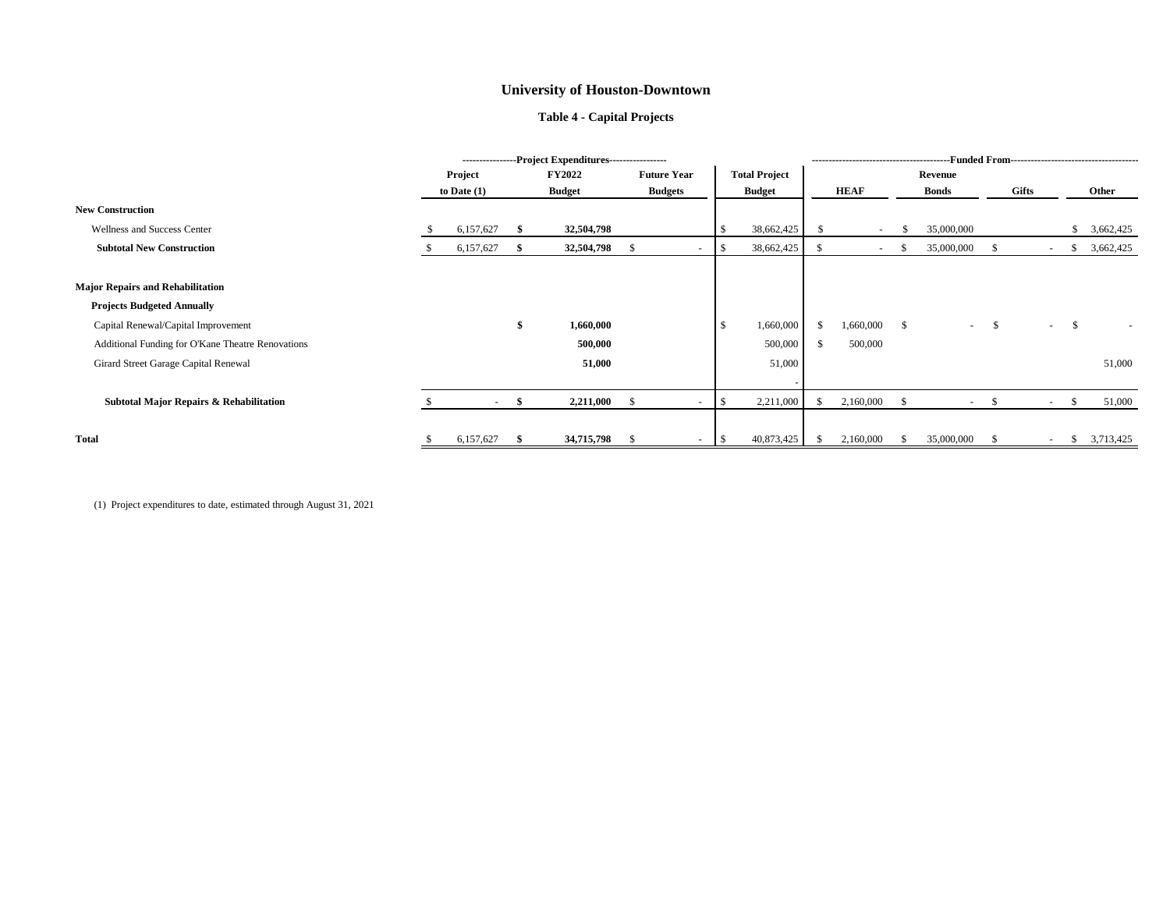|                                                    | ----------------Project Expenditures----------------- |               |                           |               |                                           |              |                      |               |             |    |              |              |        |              |           |
|----------------------------------------------------|-------------------------------------------------------|---------------|---------------------------|---------------|-------------------------------------------|--------------|----------------------|---------------|-------------|----|--------------|--------------|--------|--------------|-----------|
|                                                    |                                                       | Project       |                           | <b>FY2022</b> | <b>Future Year</b>                        |              | <b>Total Project</b> |               | Revenue     |    |              |              |        |              |           |
|                                                    |                                                       | to Date $(1)$ |                           | <b>Budget</b> | <b>Budgets</b>                            |              | <b>Budget</b>        |               | <b>HEAF</b> |    | <b>Bonds</b> | <b>Gifts</b> |        |              | Other     |
| <b>New Construction</b>                            |                                                       |               |                           |               |                                           |              |                      |               |             |    |              |              |        |              |           |
| Wellness and Success Center                        |                                                       | 6,157,627     |                           | 32,504,798    |                                           |              | 38,662,425           | -S            | $\sim$      | Ж  | 35,000,000   |              |        |              | 3,662,425 |
| <b>Subtotal New Construction</b>                   |                                                       | 6,157,627     |                           | 32,504,798    | $\mathcal{S}$<br>$\overline{\phantom{0}}$ | -S           | 38,662,425           | - S           | $\sim$      |    | 35,000,000   | - 56         | $\sim$ | S            | 3,662,425 |
| <b>Major Repairs and Rehabilitation</b>            |                                                       |               |                           |               |                                           |              |                      |               |             |    |              |              |        |              |           |
| <b>Projects Budgeted Annually</b>                  |                                                       |               |                           |               |                                           |              |                      |               |             |    |              |              |        |              |           |
| Capital Renewal/Capital Improvement                |                                                       |               | $\boldsymbol{\mathsf{s}}$ | 1,660,000     |                                           | $\mathbb{S}$ | 1,660,000            | <sup>\$</sup> | 1,660,000   | -S | $\sim$ .     | - S          |        | $-$ \$       |           |
| Additional Funding for O'Kane Theatre Renovations  |                                                       |               |                           | 500,000       |                                           |              | 500,000              | <sup>\$</sup> | 500,000     |    |              |              |        |              |           |
| Girard Street Garage Capital Renewal               |                                                       |               |                           | 51,000        |                                           |              | 51,000               |               |             |    |              |              |        |              | 51,000    |
| <b>Subtotal Major Repairs &amp; Rehabilitation</b> |                                                       | $\sim$        |                           | 2,211,000     | <sup>S</sup><br>$\overline{\phantom{0}}$  | -\$          | 2,211,000            |               | 2,160,000   |    | $\sim$       | - \$         | $\sim$ | <sup>S</sup> | 51,000    |
| <b>Total</b>                                       |                                                       | 6,157,627     |                           | 34,715,798    |                                           |              | 40,873,425           | -8            | 2,160,000   |    | 35,000,000   |              |        | S.           | 3,713,425 |

(1) Project expenditures to date, estimated through August 31, 2021

# **University of Houston-Downtown**

# **Table 4 - Capital Projects**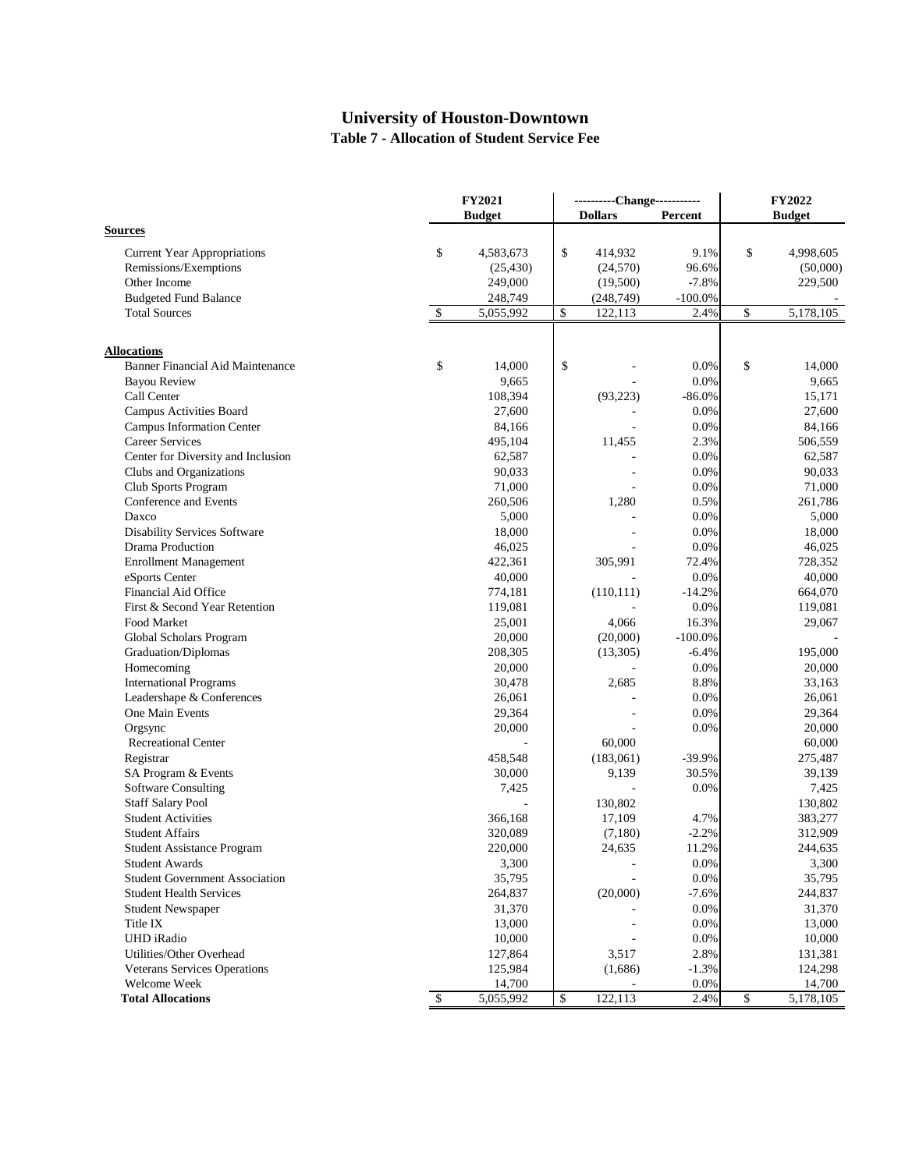# **University of Houston-Downtown Table 7 - Allocation of Student Service Fee**

|                                         |                | <b>FY2021</b> |    |                | ----------Change----------- | <b>FY2022</b> |               |  |
|-----------------------------------------|----------------|---------------|----|----------------|-----------------------------|---------------|---------------|--|
|                                         |                | <b>Budget</b> |    | <b>Dollars</b> | Percent                     |               | <b>Budget</b> |  |
| <b>Sources</b>                          |                |               |    |                |                             |               |               |  |
| <b>Current Year Appropriations</b>      | \$             | 4,583,673     | \$ | 414,932        | 9.1%                        | \$            | 4,998,605     |  |
| Remissions/Exemptions                   |                | (25, 430)     |    | (24,570)       | 96.6%                       |               | (50,000)      |  |
| Other Income                            |                | 249,000       |    | (19,500)       | $-7.8%$                     |               | 229,500       |  |
| <b>Budgeted Fund Balance</b>            |                | 248,749       |    | (248, 749)     | $-100.0%$                   |               |               |  |
| <b>Total Sources</b>                    | $\mathfrak{F}$ | 5,055,992     | \$ | 122,113        | 2.4%                        | \$            | 5,178,105     |  |
| <b>Allocations</b>                      |                |               |    |                |                             |               |               |  |
| <b>Banner Financial Aid Maintenance</b> | \$             | 14,000        | \$ |                | 0.0%                        | \$            | 14,000        |  |
| <b>Bayou Review</b>                     |                | 9,665         |    |                | 0.0%                        |               | 9,665         |  |
| Call Center                             |                | 108,394       |    | (93, 223)      | $-86.0%$                    |               | 15,171        |  |
| <b>Campus Activities Board</b>          |                | 27,600        |    |                | 0.0%                        |               | 27,600        |  |
| <b>Campus Information Center</b>        |                | 84,166        |    |                | 0.0%                        |               | 84,166        |  |
| <b>Career Services</b>                  |                | 495,104       |    | 11,455         | 2.3%                        |               | 506,559       |  |
| Center for Diversity and Inclusion      |                | 62,587        |    |                | 0.0%                        |               | 62,587        |  |
| Clubs and Organizations                 |                | 90,033        |    |                | 0.0%                        |               | 90,033        |  |
| Club Sports Program                     |                | 71,000        |    |                | 0.0%                        |               | 71,000        |  |
| Conference and Events                   |                | 260,506       |    | 1,280          | 0.5%                        |               | 261,786       |  |
| Daxco                                   |                | 5,000         |    |                | 0.0%                        |               | 5,000         |  |
| <b>Disability Services Software</b>     |                | 18,000        |    |                | 0.0%                        |               | 18,000        |  |
| Drama Production                        |                | 46,025        |    |                | 0.0%                        |               | 46,025        |  |
| <b>Enrollment Management</b>            |                | 422,361       |    | 305,991        | 72.4%                       |               | 728,352       |  |
| eSports Center                          |                | 40,000        |    |                | 0.0%                        |               | 40,000        |  |
| Financial Aid Office                    |                | 774,181       |    | (110, 111)     | $-14.2%$                    |               | 664,070       |  |
| First & Second Year Retention           |                | 119,081       |    |                | 0.0%                        |               | 119,081       |  |
| Food Market                             |                | 25,001        |    | 4,066          | 16.3%                       |               | 29,067        |  |
| Global Scholars Program                 |                | 20,000        |    | (20,000)       | $-100.0%$                   |               |               |  |
| Graduation/Diplomas                     |                | 208,305       |    | (13,305)       | $-6.4%$                     |               | 195,000       |  |
| Homecoming                              |                | 20,000        |    |                | 0.0%                        |               | 20,000        |  |
| <b>International Programs</b>           |                | 30,478        |    | 2,685          | 8.8%                        |               | 33,163        |  |
| Leadershape & Conferences               |                | 26,061        |    |                | 0.0%                        |               | 26,061        |  |
| One Main Events                         |                | 29,364        |    |                | 0.0%                        |               | 29,364        |  |
| Orgsync                                 |                | 20,000        |    |                | 0.0%                        |               | 20,000        |  |
| <b>Recreational Center</b>              |                |               |    | 60,000         |                             |               | 60,000        |  |
| Registrar                               |                | 458,548       |    | (183,061)      | $-39.9%$                    |               | 275,487       |  |
| SA Program & Events                     |                | 30,000        |    | 9,139          | 30.5%                       |               | 39,139        |  |
| <b>Software Consulting</b>              |                | 7,425         |    |                | 0.0%                        |               | 7,425         |  |
| <b>Staff Salary Pool</b>                |                |               |    | 130,802        |                             |               | 130,802       |  |
| <b>Student Activities</b>               |                | 366,168       |    | 17,109         | 4.7%                        |               | 383,277       |  |
| <b>Student Affairs</b>                  |                | 320,089       |    | (7,180)        | $-2.2%$                     |               | 312,909       |  |
| <b>Student Assistance Program</b>       |                | 220,000       |    | 24,635         | 11.2%                       |               | 244,635       |  |
| <b>Student Awards</b>                   |                | 3,300         |    |                | 0.0%                        |               | 3,300         |  |
| <b>Student Government Association</b>   |                | 35,795        |    |                | 0.0%                        |               | 35,795        |  |
| <b>Student Health Services</b>          |                | 264,837       |    | (20,000)       | $-7.6%$                     |               | 244,837       |  |
| <b>Student Newspaper</b>                |                | 31,370        |    |                | 0.0%                        |               | 31,370        |  |
| Title IX                                |                | 13,000        |    |                | 0.0%                        |               | 13,000        |  |
| UHD iRadio                              |                | 10,000        |    |                | 0.0%                        |               | 10,000        |  |
| Utilities/Other Overhead                |                | 127,864       |    | 3,517          | 2.8%                        |               | 131,381       |  |
| <b>Veterans Services Operations</b>     |                | 125,984       |    | (1,686)        | $-1.3%$                     |               | 124,298       |  |
| Welcome Week                            |                | 14,700        |    |                | 0.0%                        |               | 14,700        |  |
| <b>Total Allocations</b>                | $\mathcal{S}$  | 5,055,992     | \$ | 122,113        | 2.4%                        | $\mathcal{S}$ | 5,178,105     |  |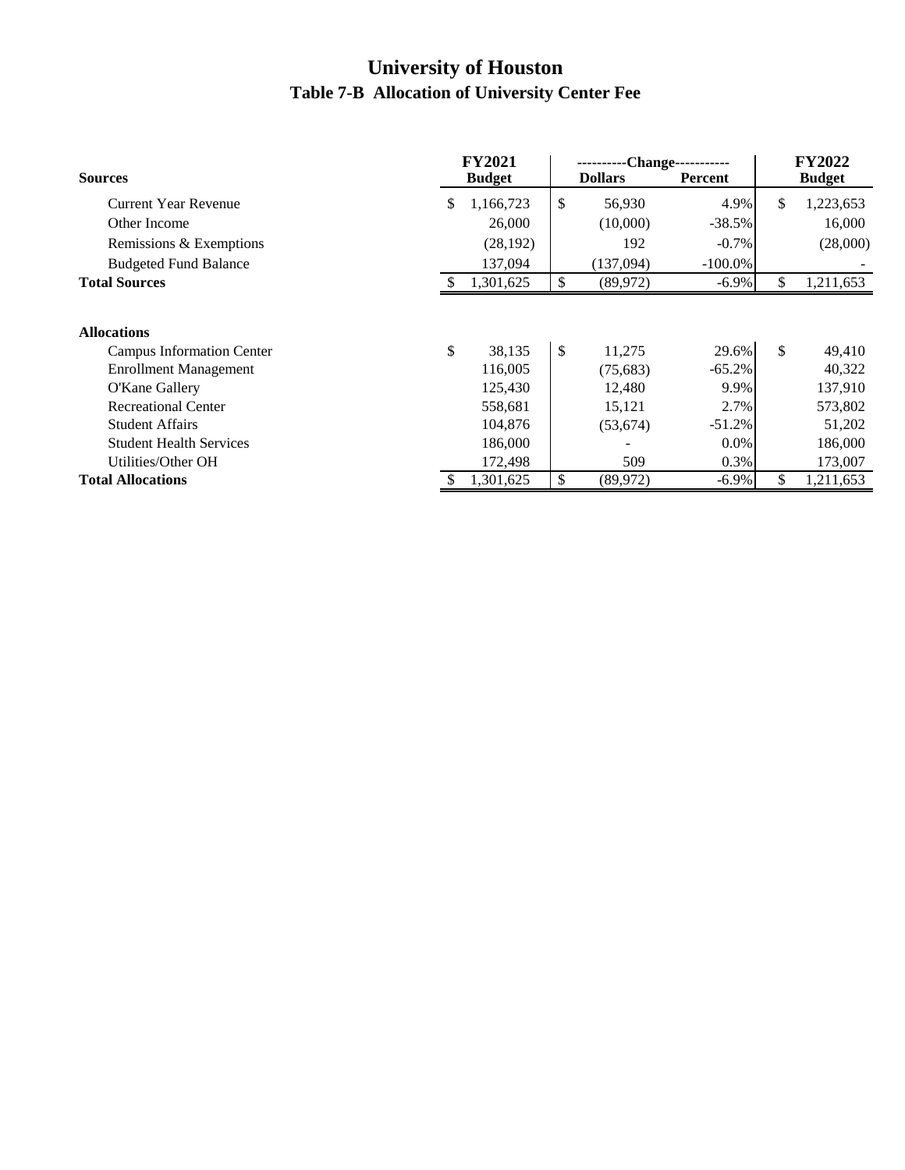# **University of Houston Table 7-B Allocation of University Center Fee**

|                                | <b>FY2021</b> |               |    | -Change----------- | <b>FY2022</b> |     |               |
|--------------------------------|---------------|---------------|----|--------------------|---------------|-----|---------------|
| <b>Sources</b>                 |               | <b>Budget</b> |    | <b>Dollars</b>     | Percent       |     | <b>Budget</b> |
| <b>Current Year Revenue</b>    | S.            | 1,166,723     | \$ | 56,930             | 4.9%          | \$. | 1,223,653     |
| Other Income                   |               | 26,000        |    | (10,000)           | $-38.5%$      |     | 16,000        |
| Remissions & Exemptions        |               | (28, 192)     |    | 192                | $-0.7\%$      |     | (28,000)      |
| <b>Budgeted Fund Balance</b>   |               | 137,094       |    | (137,094)          | $-100.0\%$    |     |               |
| <b>Total Sources</b>           |               | 1,301,625     | \$ | (89, 972)          | $-6.9\%$      | \$  | 1,211,653     |
| <b>Allocations</b>             |               |               |    |                    |               |     |               |
| Campus Information Center      | \$            | 38,135        | \$ | 11,275             | 29.6%         | \$  | 49,410        |
| <b>Enrollment Management</b>   |               | 116,005       |    | (75,683)           | $-65.2%$      |     | 40,322        |
| O'Kane Gallery                 |               | 125,430       |    | 12,480             | 9.9%          |     | 137,910       |
| <b>Recreational Center</b>     |               | 558,681       |    | 15,121             | 2.7%          |     | 573,802       |
| <b>Student Affairs</b>         |               | 104,876       |    | (53, 674)          | $-51.2%$      |     | 51,202        |
| <b>Student Health Services</b> |               | 186,000       |    |                    | $0.0\%$       |     | 186,000       |
| Utilities/Other OH             |               | 172,498       |    | 509                | 0.3%          |     | 173,007       |
| <b>Total Allocations</b>       | \$            | 1,301,625     | \$ | (89, 972)          | $-6.9\%$      | \$  | 1,211,653     |